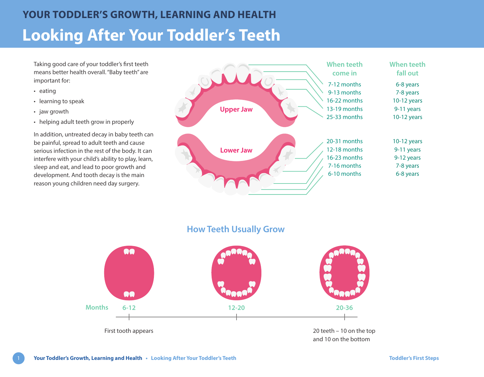Taking good care of your toddler's first teeth means better health overall. "Baby teeth" are important for:

- eating
- learning to speak
- jaw growth
- helping adult teeth grow in properly

In addition, untreated decay in baby teeth can be painful, spread to adult teeth and cause serious infection in the rest of the body. It can interfere with your child's ability to play, learn, sleep and eat, and lead to poor growth and development. And tooth decay is the main reason young children need day surgery.



**How Teeth Usually Grow** 

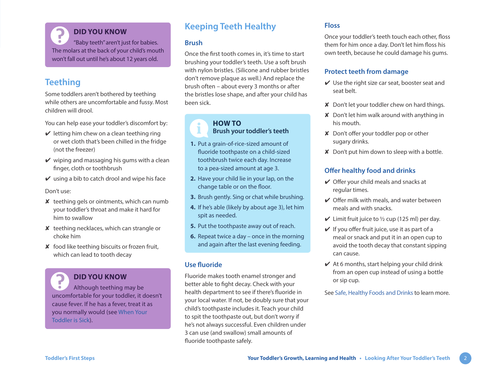**DID YOU KNOW** "Baby teeth" aren't just for babies. The molars at the back of your child's mouth won't fall out until he's about 12 years old.

# **Teething**

Some toddlers aren't bothered by teething while others are uncomfortable and fussy. Most children will drool.

You can help ease your toddler's discomfort by:

- $\vee$  letting him chew on a clean teething ring or wet cloth that's been chilled in the fridge (not the freezer)
- $\vee$  wiping and massaging his gums with a clean finger, cloth or toothbrush
- $\vee$  using a bib to catch drool and wipe his face

Don't use:

- **teething gels or ointments, which can numb** your toddler's throat and make it hard for him to swallow
- ✘ teething necklaces, which can strangle or choke him
- ✘ food like teething biscuits or frozen fruit, which can lead to tooth decay

# **DID YOU KNOW**

Although teething may be uncomfortable for your toddler, it doesn't cause fever. If he has a fever, treat it as you normally would (see [When Your](https://www.healthlinkbc.ca/sites/default/files/documents/TFS_toddler-sick.pdf)  [Toddler is Sick](https://www.healthlinkbc.ca/sites/default/files/documents/TFS_toddler-sick.pdf)).

# **Keeping Teeth Healthy**

### **Brush**

Once the first tooth comes in, it's time to start brushing your toddler's teeth. Use a soft brush with nylon bristles. (Silicone and rubber bristles don't remove plaque as well.) And replace the brush often – about every 3 months or after the bristles lose shape, and after your child has been sick.

## **HOW TO Brush your toddler's teeth**

- **1.** Put a grain-of-rice-sized amount of fluoride toothpaste on a child-sized toothbrush twice each day. Increase to a pea-sized amount at age 3.
- **2.** Have your child lie in your lap, on the change table or on the floor.
- **3.** Brush gently. Sing or chat while brushing.
- **4.** If he's able (likely by about age 3), let him spit as needed.
- **5.** Put the toothpaste away out of reach.
- **6.** Repeat twice a day once in the morning and again after the last evening feeding.

## **Use fluoride**

Fluoride makes tooth enamel stronger and better able to fight decay. Check with your health department to see if there's fluoride in your local water. If not, be doubly sure that your child's toothpaste includes it. Teach your child to spit the toothpaste out, but don't worry if he's not always successful. Even children under 3 can use (and swallow) small amounts of fluoride toothpaste safely.

## **Floss**

Once your toddler's teeth touch each other, floss them for him once a day. Don't let him floss his own teeth, because he could damage his gums.

### **Protect teeth from damage**

- $\vee$  Use the right size car seat, booster seat and seat belt.
- ✘ Don't let your toddler chew on hard things.
- ✘ Don't let him walk around with anything in his mouth.
- ✘ Don't offer your toddler pop or other sugary drinks.
- ✘ Don't put him down to sleep with a bottle.

## **Offer healthy food and drinks**

- $\vee$  Offer your child meals and snacks at regular times.
- $\vee$  Offer milk with meals, and water between meals and with snacks.
- $\checkmark$  Limit fruit juice to 1/2 cup (125 ml) per day.
- $\vee$  If you offer fruit juice, use it as part of a meal or snack and put it in an open cup to avoid the tooth decay that constant sipping can cause.
- $\vee$  At 6 months, start helping your child drink from an open cup instead of using a bottle or sip cup.

See [Safe, Healthy Foods and Drinks](https://www.healthlinkbc.ca/sites/default/files/documents/TFS_safe-foods.pdf) to learn more.